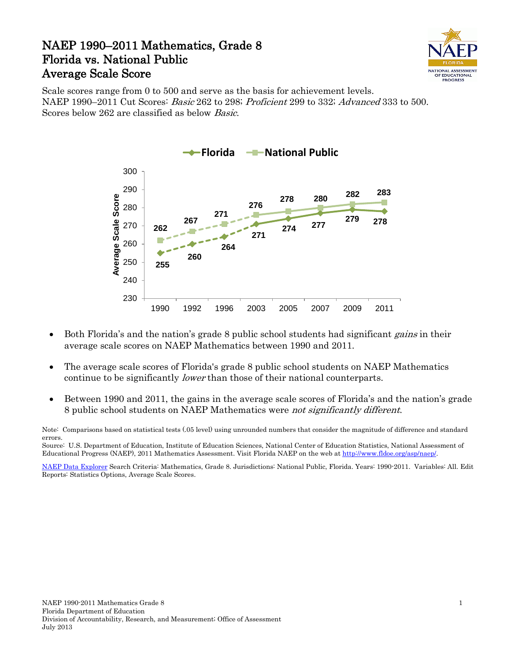## NAEP 1990–2011 Mathematics, Grade 8 Florida vs. National Public Average Scale Score



Scale scores range from 0 to 500 and serve as the basis for achievement levels. NAEP 1990–2011 Cut Scores: Basic 262 to 298; Proficient 299 to 332; Advanced 333 to 500. Scores below 262 are classified as below Basic.



- Both Florida's and the nation's grade 8 public school students had significant *gains* in their average scale scores on NAEP Mathematics between 1990 and 2011.
- The average scale scores of Florida's grade 8 public school students on NAEP Mathematics continue to be significantly *lower* than those of their national counterparts.
- Between 1990 and 2011, the gains in the average scale scores of Florida's and the nation's grade 8 public school students on NAEP Mathematics were not significantly different.

Note: Comparisons based on statistical tests (.05 level) using unrounded numbers that consider the magnitude of difference and standard errors.

Source: U.S. Department of Education, Institute of Education Sciences, National Center of Education Statistics, National Assessment of Educational Progress (NAEP), 2011 Mathematics Assessment. Visit Florida NAEP on the web a[t http://www.fldoe.org/asp/naep/.](http://www.fldoe.org/asp/naep/)

[NAEP Data Explorer](http://nces.ed.gov/nationsreportcard/naepdata/) Search Criteria: Mathematics, Grade 8. Jurisdictions: National Public, Florida. Years: 1990-2011. Variables: All. Edit Reports: Statistics Options, Average Scale Scores.